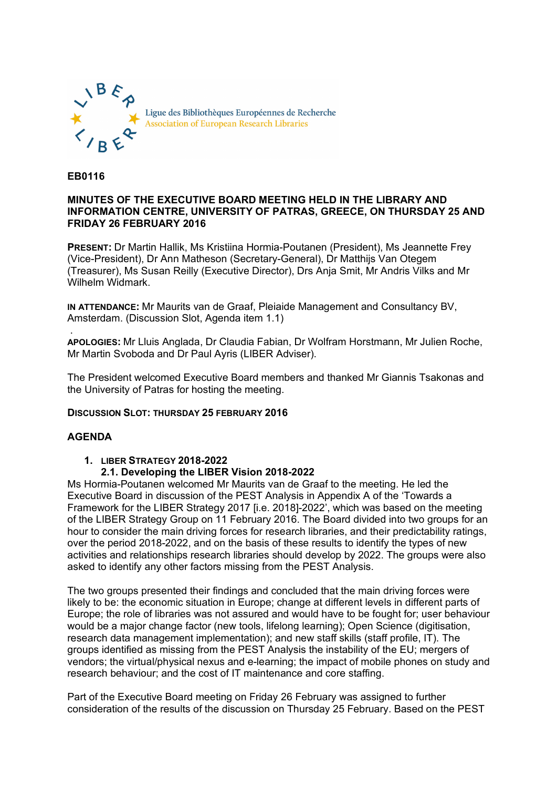

**EB0116**

#### **MINUTES OF THE EXECUTIVE BOARD MEETING HELD IN THE LIBRARY AND INFORMATION CENTRE, UNIVERSITY OF PATRAS, GREECE, ON THURSDAY 25 AND FRIDAY 26 FEBRUARY 2016**

**PRESENT:** Dr Martin Hallik, Ms Kristiina Hormia-Poutanen (President), Ms Jeannette Frey (Vice-President), Dr Ann Matheson (Secretary-General), Dr Matthijs Van Otegem (Treasurer), Ms Susan Reilly (Executive Director), Drs Anja Smit, Mr Andris Vilks and Mr Wilhelm Widmark.

**IN ATTENDANCE:** Mr Maurits van de Graaf, Pleiaide Management and Consultancy BV, Amsterdam. (Discussion Slot, Agenda item 1.1)

. **APOLOGIES:** Mr Lluis Anglada, Dr Claudia Fabian, Dr Wolfram Horstmann, Mr Julien Roche, Mr Martin Svoboda and Dr Paul Ayris (LIBER Adviser).

The President welcomed Executive Board members and thanked Mr Giannis Tsakonas and the University of Patras for hosting the meeting.

# **DISCUSSION SLOT: THURSDAY 25 FEBRUARY 2016**

# **AGENDA**

# **1. LIBER STRATEGY 2018-2022**

# **2.1. Developing the LIBER Vision 2018-2022**

Ms Hormia-Poutanen welcomed Mr Maurits van de Graaf to the meeting. He led the Executive Board in discussion of the PEST Analysis in Appendix A of the 'Towards a Framework for the LIBER Strategy 2017 [i.e. 2018]-2022', which was based on the meeting of the LIBER Strategy Group on 11 February 2016. The Board divided into two groups for an hour to consider the main driving forces for research libraries, and their predictability ratings, over the period 2018-2022, and on the basis of these results to identify the types of new activities and relationships research libraries should develop by 2022. The groups were also asked to identify any other factors missing from the PEST Analysis.

The two groups presented their findings and concluded that the main driving forces were likely to be: the economic situation in Europe; change at different levels in different parts of Europe; the role of libraries was not assured and would have to be fought for; user behaviour would be a major change factor (new tools, lifelong learning); Open Science (digitisation, research data management implementation); and new staff skills (staff profile, IT). The groups identified as missing from the PEST Analysis the instability of the EU; mergers of vendors; the virtual/physical nexus and e-learning; the impact of mobile phones on study and research behaviour; and the cost of IT maintenance and core staffing.

Part of the Executive Board meeting on Friday 26 February was assigned to further consideration of the results of the discussion on Thursday 25 February. Based on the PEST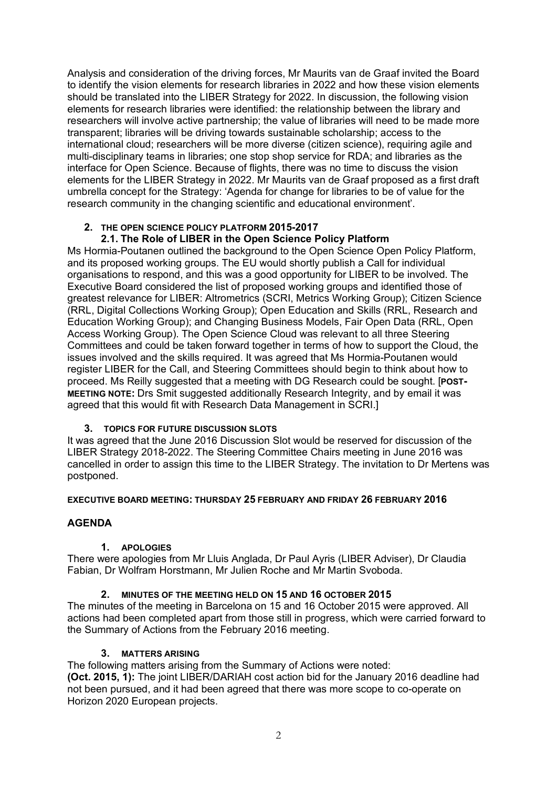Analysis and consideration of the driving forces, Mr Maurits van de Graaf invited the Board to identify the vision elements for research libraries in 2022 and how these vision elements should be translated into the LIBER Strategy for 2022. In discussion, the following vision elements for research libraries were identified: the relationship between the library and researchers will involve active partnership; the value of libraries will need to be made more transparent; libraries will be driving towards sustainable scholarship; access to the international cloud; researchers will be more diverse (citizen science), requiring agile and multi-disciplinary teams in libraries; one stop shop service for RDA; and libraries as the interface for Open Science. Because of flights, there was no time to discuss the vision elements for the LIBER Strategy in 2022. Mr Maurits van de Graaf proposed as a first draft umbrella concept for the Strategy: 'Agenda for change for libraries to be of value for the research community in the changing scientific and educational environment'.

#### **2. THE OPEN SCIENCE POLICY PLATFORM 2015-2017 2.1. The Role of LIBER in the Open Science Policy Platform**

Ms Hormia-Poutanen outlined the background to the Open Science Open Policy Platform, and its proposed working groups. The EU would shortly publish a Call for individual organisations to respond, and this was a good opportunity for LIBER to be involved. The Executive Board considered the list of proposed working groups and identified those of greatest relevance for LIBER: Altrometrics (SCRI, Metrics Working Group); Citizen Science (RRL, Digital Collections Working Group); Open Education and Skills (RRL, Research and Education Working Group); and Changing Business Models, Fair Open Data (RRL, Open Access Working Group). The Open Science Cloud was relevant to all three Steering Committees and could be taken forward together in terms of how to support the Cloud, the issues involved and the skills required. It was agreed that Ms Hormia-Poutanen would register LIBER for the Call, and Steering Committees should begin to think about how to proceed. Ms Reilly suggested that a meeting with DG Research could be sought. [**POST-MEETING NOTE:** Drs Smit suggested additionally Research Integrity, and by email it was agreed that this would fit with Research Data Management in SCRI.]

# **3. TOPICS FOR FUTURE DISCUSSION SLOTS**

It was agreed that the June 2016 Discussion Slot would be reserved for discussion of the LIBER Strategy 2018-2022. The Steering Committee Chairs meeting in June 2016 was cancelled in order to assign this time to the LIBER Strategy. The invitation to Dr Mertens was postponed.

# **EXECUTIVE BOARD MEETING: THURSDAY 25 FEBRUARY AND FRIDAY 26 FEBRUARY 2016**

# **AGENDA**

# **1. APOLOGIES**

There were apologies from Mr Lluis Anglada, Dr Paul Ayris (LIBER Adviser), Dr Claudia Fabian, Dr Wolfram Horstmann, Mr Julien Roche and Mr Martin Svoboda.

# **2. MINUTES OF THE MEETING HELD ON 15 AND 16 OCTOBER 2015**

The minutes of the meeting in Barcelona on 15 and 16 October 2015 were approved. All actions had been completed apart from those still in progress, which were carried forward to the Summary of Actions from the February 2016 meeting.

# **3. MATTERS ARISING**

The following matters arising from the Summary of Actions were noted: **(Oct. 2015, 1):** The joint LIBER/DARIAH cost action bid for the January 2016 deadline had not been pursued, and it had been agreed that there was more scope to co-operate on Horizon 2020 European projects.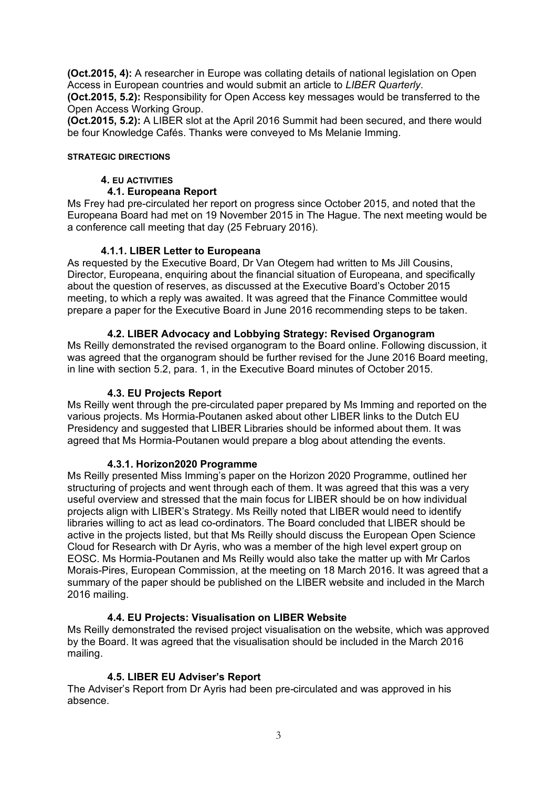**(Oct.2015, 4):** A researcher in Europe was collating details of national legislation on Open Access in European countries and would submit an article to *LIBER Quarterly*.

**(Oct.2015, 5.2):** Responsibility for Open Access key messages would be transferred to the Open Access Working Group.

**(Oct.2015, 5.2):** A LIBER slot at the April 2016 Summit had been secured, and there would be four Knowledge Cafés. Thanks were conveyed to Ms Melanie Imming.

#### **STRATEGIC DIRECTIONS**

#### **4. EU ACTIVITIES**

#### **4.1. Europeana Report**

Ms Frey had pre-circulated her report on progress since October 2015, and noted that the Europeana Board had met on 19 November 2015 in The Hague. The next meeting would be a conference call meeting that day (25 February 2016).

#### **4.1.1. LIBER Letter to Europeana**

As requested by the Executive Board, Dr Van Otegem had written to Ms Jill Cousins, Director, Europeana, enquiring about the financial situation of Europeana, and specifically about the question of reserves, as discussed at the Executive Board's October 2015 meeting, to which a reply was awaited. It was agreed that the Finance Committee would prepare a paper for the Executive Board in June 2016 recommending steps to be taken.

# **4.2. LIBER Advocacy and Lobbying Strategy: Revised Organogram**

Ms Reilly demonstrated the revised organogram to the Board online. Following discussion, it was agreed that the organogram should be further revised for the June 2016 Board meeting, in line with section 5.2, para. 1, in the Executive Board minutes of October 2015.

#### **4.3. EU Projects Report**

Ms Reilly went through the pre-circulated paper prepared by Ms Imming and reported on the various projects. Ms Hormia-Poutanen asked about other LIBER links to the Dutch EU Presidency and suggested that LIBER Libraries should be informed about them. It was agreed that Ms Hormia-Poutanen would prepare a blog about attending the events.

#### **4.3.1. Horizon2020 Programme**

Ms Reilly presented Miss Imming's paper on the Horizon 2020 Programme, outlined her structuring of projects and went through each of them. It was agreed that this was a very useful overview and stressed that the main focus for LIBER should be on how individual projects align with LIBER's Strategy. Ms Reilly noted that LIBER would need to identify libraries willing to act as lead co-ordinators. The Board concluded that LIBER should be active in the projects listed, but that Ms Reilly should discuss the European Open Science Cloud for Research with Dr Ayris, who was a member of the high level expert group on EOSC. Ms Hormia-Poutanen and Ms Reilly would also take the matter up with Mr Carlos Morais-Pires, European Commission, at the meeting on 18 March 2016. It was agreed that a summary of the paper should be published on the LIBER website and included in the March 2016 mailing.

# **4.4. EU Projects: Visualisation on LIBER Website**

Ms Reilly demonstrated the revised project visualisation on the website, which was approved by the Board. It was agreed that the visualisation should be included in the March 2016 mailing.

# **4.5. LIBER EU Adviser's Report**

The Adviser's Report from Dr Ayris had been pre-circulated and was approved in his absence.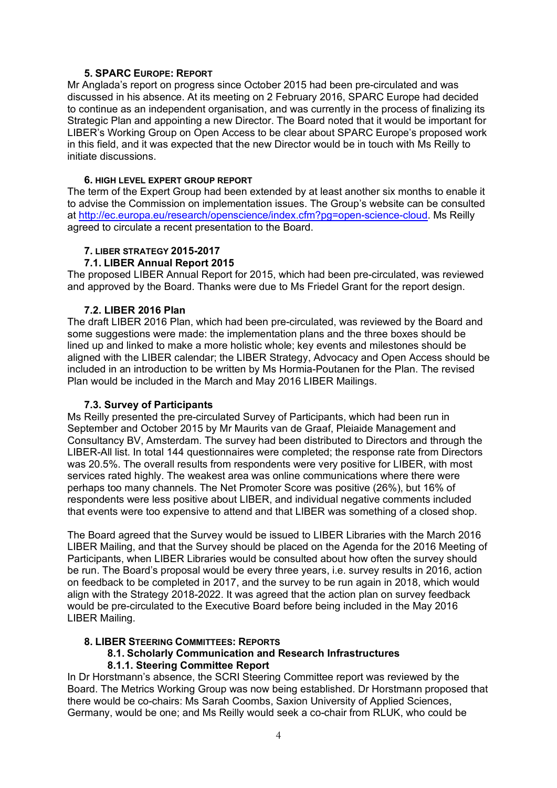#### **5. SPARC EUROPE: REPORT**

Mr Anglada's report on progress since October 2015 had been pre-circulated and was discussed in his absence. At its meeting on 2 February 2016, SPARC Europe had decided to continue as an independent organisation, and was currently in the process of finalizing its Strategic Plan and appointing a new Director. The Board noted that it would be important for LIBER's Working Group on Open Access to be clear about SPARC Europe's proposed work in this field, and it was expected that the new Director would be in touch with Ms Reilly to initiate discussions.

#### **6. HIGH LEVEL EXPERT GROUP REPORT**

The term of the Expert Group had been extended by at least another six months to enable it to advise the Commission on implementation issues. The Group's website can be consulted at [http://ec.europa.eu/research/openscience/index.cfm?pg=open-science-cloud.](http://ec.europa.eu/research/openscience/index.cfm?pg=open-science-cloud) Ms Reilly agreed to circulate a recent presentation to the Board.

#### **7. LIBER STRATEGY 2015-2017**

#### **7.1. LIBER Annual Report 2015**

The proposed LIBER Annual Report for 2015, which had been pre-circulated, was reviewed and approved by the Board. Thanks were due to Ms Friedel Grant for the report design.

# **7.2. LIBER 2016 Plan**

The draft LIBER 2016 Plan, which had been pre-circulated, was reviewed by the Board and some suggestions were made: the implementation plans and the three boxes should be lined up and linked to make a more holistic whole; key events and milestones should be aligned with the LIBER calendar; the LIBER Strategy, Advocacy and Open Access should be included in an introduction to be written by Ms Hormia-Poutanen for the Plan. The revised Plan would be included in the March and May 2016 LIBER Mailings.

# **7.3. Survey of Participants**

Ms Reilly presented the pre-circulated Survey of Participants, which had been run in September and October 2015 by Mr Maurits van de Graaf, Pleiaide Management and Consultancy BV, Amsterdam. The survey had been distributed to Directors and through the LIBER-All list. In total 144 questionnaires were completed; the response rate from Directors was 20.5%. The overall results from respondents were very positive for LIBER, with most services rated highly. The weakest area was online communications where there were perhaps too many channels. The Net Promoter Score was positive (26%), but 16% of respondents were less positive about LIBER, and individual negative comments included that events were too expensive to attend and that LIBER was something of a closed shop.

The Board agreed that the Survey would be issued to LIBER Libraries with the March 2016 LIBER Mailing, and that the Survey should be placed on the Agenda for the 2016 Meeting of Participants, when LIBER Libraries would be consulted about how often the survey should be run. The Board's proposal would be every three years, i.e. survey results in 2016, action on feedback to be completed in 2017, and the survey to be run again in 2018, which would align with the Strategy 2018-2022. It was agreed that the action plan on survey feedback would be pre-circulated to the Executive Board before being included in the May 2016 LIBER Mailing.

#### **8. LIBER STEERING COMMITTEES: REPORTS**

# **8.1. Scholarly Communication and Research Infrastructures**

# **8.1.1. Steering Committee Report**

In Dr Horstmann's absence, the SCRI Steering Committee report was reviewed by the Board. The Metrics Working Group was now being established. Dr Horstmann proposed that there would be co-chairs: Ms Sarah Coombs, Saxion University of Applied Sciences, Germany, would be one; and Ms Reilly would seek a co-chair from RLUK, who could be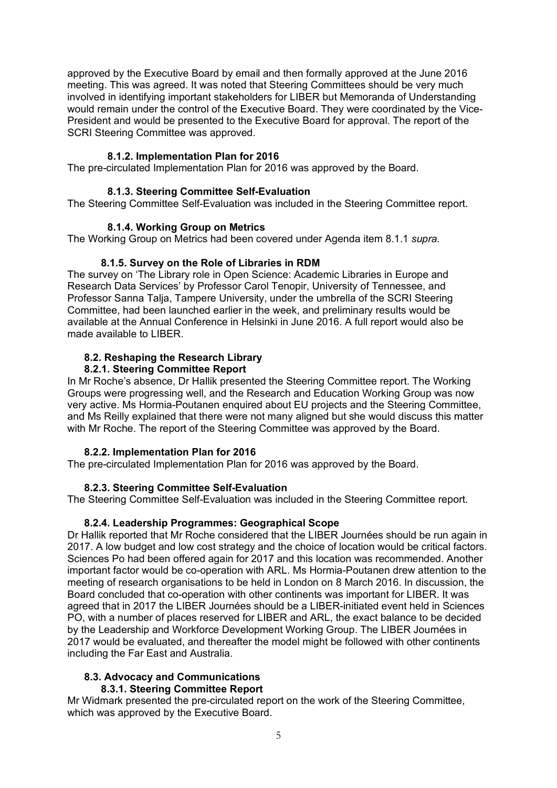approved by the Executive Board by email and then formally approved at the June 2016 meeting. This was agreed. It was noted that Steering Committees should be very much involved in identifying important stakeholders for LIBER but Memoranda of Understanding would remain under the control of the Executive Board. They were coordinated by the Vice-President and would be presented to the Executive Board for approval. The report of the SCRI Steering Committee was approved.

# **8.1.2. Implementation Plan for 2016**

The pre-circulated Implementation Plan for 2016 was approved by the Board.

# **8.1.3. Steering Committee Self-Evaluation**

The Steering Committee Self-Evaluation was included in the Steering Committee report.

# **8.1.4. Working Group on Metrics**

The Working Group on Metrics had been covered under Agenda item 8.1.1 *supra*.

# **8.1.5. Survey on the Role of Libraries in RDM**

The survey on 'The Library role in Open Science: Academic Libraries in Europe and Research Data Services' by Professor Carol Tenopir, University of Tennessee, and Professor Sanna Talja, Tampere University, under the umbrella of the SCRI Steering Committee, had been launched earlier in the week, and preliminary results would be available at the Annual Conference in Helsinki in June 2016. A full report would also be made available to LIBER.

# **8.2. Reshaping the Research Library**

# **8.2.1. Steering Committee Report**

In Mr Roche's absence, Dr Hallik presented the Steering Committee report. The Working Groups were progressing well, and the Research and Education Working Group was now very active. Ms Hormia-Poutanen enquired about EU projects and the Steering Committee, and Ms Reilly explained that there were not many aligned but she would discuss this matter with Mr Roche. The report of the Steering Committee was approved by the Board.

# **8.2.2. Implementation Plan for 2016**

The pre-circulated Implementation Plan for 2016 was approved by the Board.

# **8.2.3. Steering Committee Self-Evaluation**

The Steering Committee Self-Evaluation was included in the Steering Committee report.

# **8.2.4. Leadership Programmes: Geographical Scope**

Dr Hallik reported that Mr Roche considered that the LIBER Journées should be run again in 2017. A low budget and low cost strategy and the choice of location would be critical factors. Sciences Po had been offered again for 2017 and this location was recommended. Another important factor would be co-operation with ARL. Ms Hormia-Poutanen drew attention to the meeting of research organisations to be held in London on 8 March 2016. In discussion, the Board concluded that co-operation with other continents was important for LIBER. It was agreed that in 2017 the LIBER Journées should be a LIBER-initiated event held in Sciences PO, with a number of places reserved for LIBER and ARL, the exact balance to be decided by the Leadership and Workforce Development Working Group. The LIBER Journées in 2017 would be evaluated, and thereafter the model might be followed with other continents including the Far East and Australia.

#### **8.3. Advocacy and Communications 8.3.1. Steering Committee Report**

Mr Widmark presented the pre-circulated report on the work of the Steering Committee, which was approved by the Executive Board.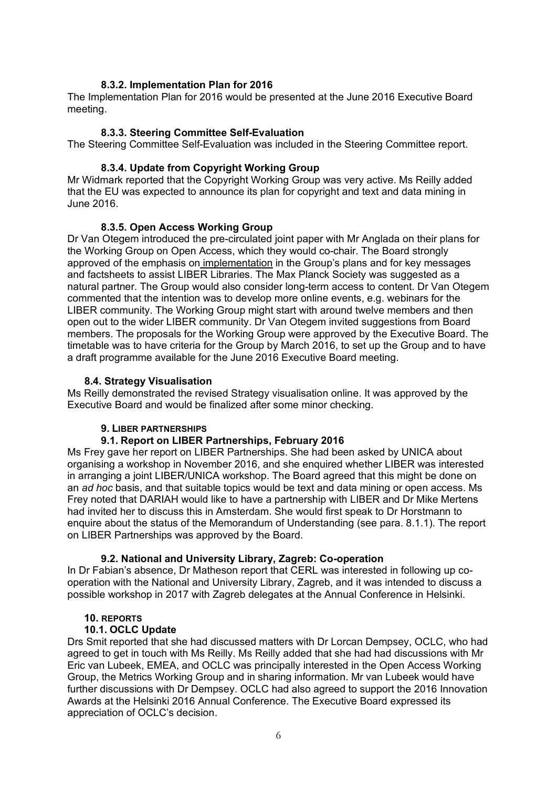#### **8.3.2. Implementation Plan for 2016**

The Implementation Plan for 2016 would be presented at the June 2016 Executive Board meeting.

#### **8.3.3. Steering Committee Self-Evaluation**

The Steering Committee Self-Evaluation was included in the Steering Committee report.

#### **8.3.4. Update from Copyright Working Group**

Mr Widmark reported that the Copyright Working Group was very active. Ms Reilly added that the EU was expected to announce its plan for copyright and text and data mining in June 2016.

#### **8.3.5. Open Access Working Group**

Dr Van Otegem introduced the pre-circulated joint paper with Mr Anglada on their plans for the Working Group on Open Access, which they would co-chair. The Board strongly approved of the emphasis on implementation in the Group's plans and for key messages and factsheets to assist LIBER Libraries. The Max Planck Society was suggested as a natural partner. The Group would also consider long-term access to content. Dr Van Otegem commented that the intention was to develop more online events, e.g. webinars for the LIBER community. The Working Group might start with around twelve members and then open out to the wider LIBER community. Dr Van Otegem invited suggestions from Board members. The proposals for the Working Group were approved by the Executive Board. The timetable was to have criteria for the Group by March 2016, to set up the Group and to have a draft programme available for the June 2016 Executive Board meeting.

#### **8.4. Strategy Visualisation**

Ms Reilly demonstrated the revised Strategy visualisation online. It was approved by the Executive Board and would be finalized after some minor checking.

#### **9. LIBER PARTNERSHIPS**

#### **9.1. Report on LIBER Partnerships, February 2016**

Ms Frey gave her report on LIBER Partnerships. She had been asked by UNICA about organising a workshop in November 2016, and she enquired whether LIBER was interested in arranging a joint LIBER/UNICA workshop. The Board agreed that this might be done on an *ad hoc* basis, and that suitable topics would be text and data mining or open access. Ms Frey noted that DARIAH would like to have a partnership with LIBER and Dr Mike Mertens had invited her to discuss this in Amsterdam. She would first speak to Dr Horstmann to enquire about the status of the Memorandum of Understanding (see para. 8.1.1). The report on LIBER Partnerships was approved by the Board.

# **9.2. National and University Library, Zagreb: Co-operation**

In Dr Fabian's absence, Dr Matheson report that CERL was interested in following up cooperation with the National and University Library, Zagreb, and it was intended to discuss a possible workshop in 2017 with Zagreb delegates at the Annual Conference in Helsinki.

#### **10. REPORTS**

#### **10.1. OCLC Update**

Drs Smit reported that she had discussed matters with Dr Lorcan Dempsey, OCLC, who had agreed to get in touch with Ms Reilly. Ms Reilly added that she had had discussions with Mr Eric van Lubeek, EMEA, and OCLC was principally interested in the Open Access Working Group, the Metrics Working Group and in sharing information. Mr van Lubeek would have further discussions with Dr Dempsey. OCLC had also agreed to support the 2016 Innovation Awards at the Helsinki 2016 Annual Conference. The Executive Board expressed its appreciation of OCLC's decision.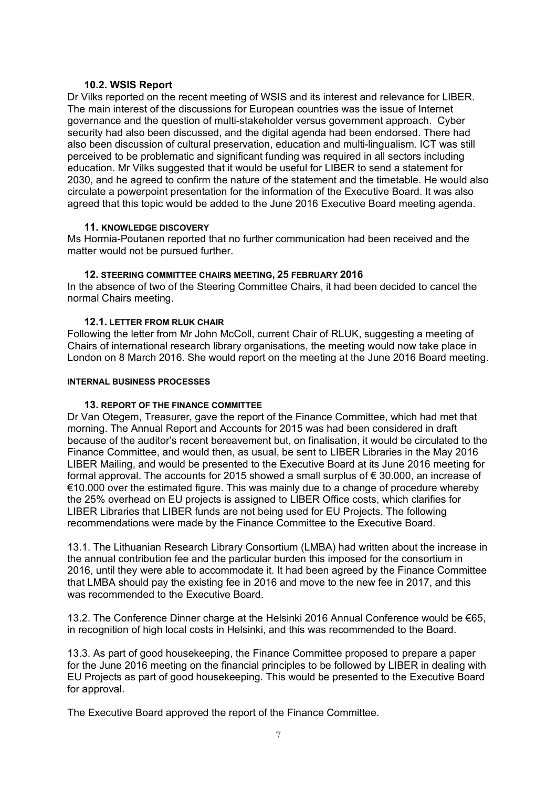# **10.2. WSIS Report**

Dr Vilks reported on the recent meeting of WSIS and its interest and relevance for LIBER. The main interest of the discussions for European countries was the issue of Internet governance and the question of multi-stakeholder versus government approach. Cyber security had also been discussed, and the digital agenda had been endorsed. There had also been discussion of cultural preservation, education and multi-lingualism. ICT was still perceived to be problematic and significant funding was required in all sectors including education. Mr Vilks suggested that it would be useful for LIBER to send a statement for 2030, and he agreed to confirm the nature of the statement and the timetable. He would also circulate a powerpoint presentation for the information of the Executive Board. It was also agreed that this topic would be added to the June 2016 Executive Board meeting agenda.

#### **11. KNOWLEDGE DISCOVERY**

Ms Hormia-Poutanen reported that no further communication had been received and the matter would not be pursued further.

# **12. STEERING COMMITTEE CHAIRS MEETING, 25 FEBRUARY 2016**

In the absence of two of the Steering Committee Chairs, it had been decided to cancel the normal Chairs meeting.

#### **12.1. LETTER FROM RLUK CHAIR**

Following the letter from Mr John McColl, current Chair of RLUK, suggesting a meeting of Chairs of international research library organisations, the meeting would now take place in London on 8 March 2016. She would report on the meeting at the June 2016 Board meeting.

#### **INTERNAL BUSINESS PROCESSES**

# **13. REPORT OF THE FINANCE COMMITTEE**

Dr Van Otegem, Treasurer, gave the report of the Finance Committee, which had met that morning. The Annual Report and Accounts for 2015 was had been considered in draft because of the auditor's recent bereavement but, on finalisation, it would be circulated to the Finance Committee, and would then, as usual, be sent to LIBER Libraries in the May 2016 LIBER Mailing, and would be presented to the Executive Board at its June 2016 meeting for formal approval. The accounts for 2015 showed a small surplus of  $\epsilon$  30.000, an increase of €10.000 over the estimated figure. This was mainly due to a change of procedure whereby the 25% overhead on EU projects is assigned to LIBER Office costs, which clarifies for LIBER Libraries that LIBER funds are not being used for EU Projects. The following recommendations were made by the Finance Committee to the Executive Board.

13.1. The Lithuanian Research Library Consortium (LMBA) had written about the increase in the annual contribution fee and the particular burden this imposed for the consortium in 2016, until they were able to accommodate it. It had been agreed by the Finance Committee that LMBA should pay the existing fee in 2016 and move to the new fee in 2017, and this was recommended to the Executive Board.

13.2. The Conference Dinner charge at the Helsinki 2016 Annual Conference would be €65, in recognition of high local costs in Helsinki, and this was recommended to the Board.

13.3. As part of good housekeeping, the Finance Committee proposed to prepare a paper for the June 2016 meeting on the financial principles to be followed by LIBER in dealing with EU Projects as part of good housekeeping. This would be presented to the Executive Board for approval.

The Executive Board approved the report of the Finance Committee.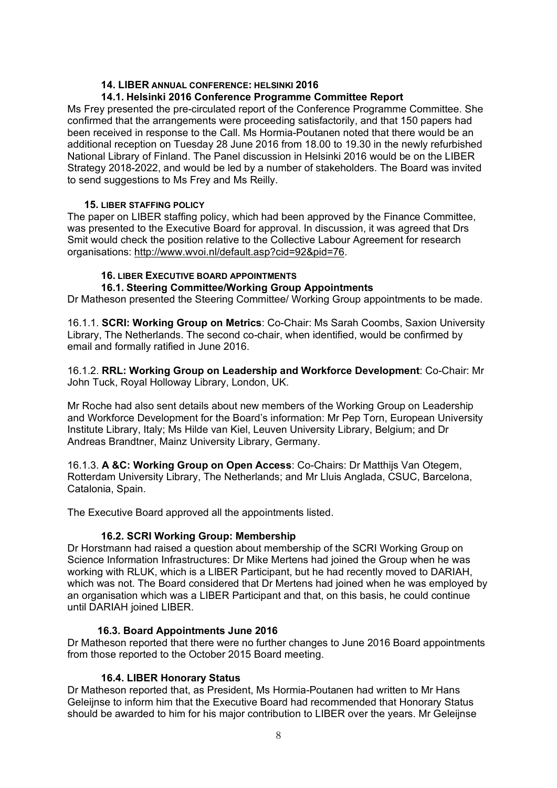# **14. LIBER ANNUAL CONFERENCE: HELSINKI 2016**

# **14.1. Helsinki 2016 Conference Programme Committee Report**

Ms Frey presented the pre-circulated report of the Conference Programme Committee. She confirmed that the arrangements were proceeding satisfactorily, and that 150 papers had been received in response to the Call. Ms Hormia-Poutanen noted that there would be an additional reception on Tuesday 28 June 2016 from 18.00 to 19.30 in the newly refurbished National Library of Finland. The Panel discussion in Helsinki 2016 would be on the LIBER Strategy 2018-2022, and would be led by a number of stakeholders. The Board was invited to send suggestions to Ms Frey and Ms Reilly.

# **15. LIBER STAFFING POLICY**

The paper on LIBER staffing policy, which had been approved by the Finance Committee, was presented to the Executive Board for approval. In discussion, it was agreed that Drs Smit would check the position relative to the Collective Labour Agreement for research organisations: [http://www.wvoi.nl/default.asp?cid=92&pid=76.](http://www.wvoi.nl/default.asp?cid=92&pid=76)

# **16. LIBER EXECUTIVE BOARD APPOINTMENTS**

#### **16.1. Steering Committee/Working Group Appointments**

Dr Matheson presented the Steering Committee/ Working Group appointments to be made.

16.1.1. **SCRI: Working Group on Metrics**: Co-Chair: Ms Sarah Coombs, Saxion University Library, The Netherlands. The second co-chair, when identified, would be confirmed by email and formally ratified in June 2016.

16.1.2. **RRL: Working Group on Leadership and Workforce Development**: Co-Chair: Mr John Tuck, Royal Holloway Library, London, UK.

Mr Roche had also sent details about new members of the Working Group on Leadership and Workforce Development for the Board's information: Mr Pep Torn, European University Institute Library, Italy; Ms Hilde van Kiel, Leuven University Library, Belgium; and Dr Andreas Brandtner, Mainz University Library, Germany.

16.1.3. **A &C: Working Group on Open Access**: Co-Chairs: Dr Matthijs Van Otegem, Rotterdam University Library, The Netherlands; and Mr Lluis Anglada, CSUC, Barcelona, Catalonia, Spain.

The Executive Board approved all the appointments listed.

# **16.2. SCRI Working Group: Membership**

Dr Horstmann had raised a question about membership of the SCRI Working Group on Science Information Infrastructures: Dr Mike Mertens had joined the Group when he was working with RLUK, which is a LIBER Participant, but he had recently moved to DARIAH, which was not. The Board considered that Dr Mertens had joined when he was employed by an organisation which was a LIBER Participant and that, on this basis, he could continue until DARIAH joined LIBER.

# **16.3. Board Appointments June 2016**

Dr Matheson reported that there were no further changes to June 2016 Board appointments from those reported to the October 2015 Board meeting.

# **16.4. LIBER Honorary Status**

Dr Matheson reported that, as President, Ms Hormia-Poutanen had written to Mr Hans Geleijnse to inform him that the Executive Board had recommended that Honorary Status should be awarded to him for his major contribution to LIBER over the years. Mr Geleijnse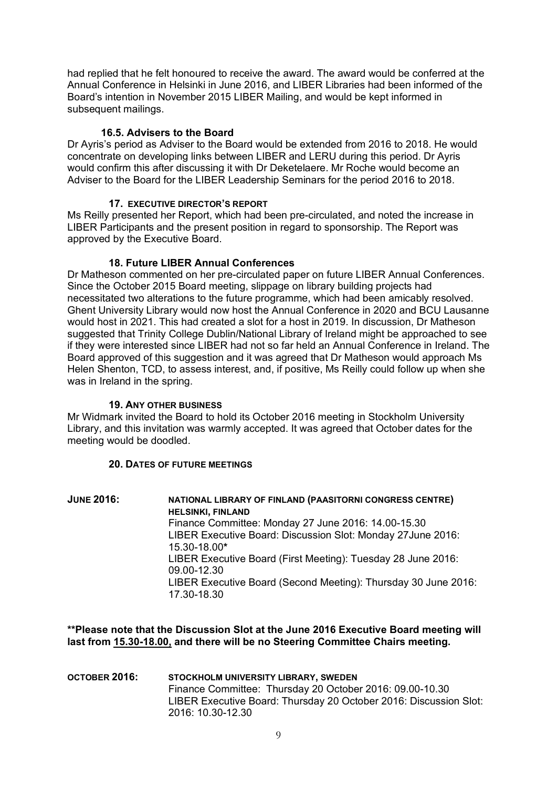had replied that he felt honoured to receive the award. The award would be conferred at the Annual Conference in Helsinki in June 2016, and LIBER Libraries had been informed of the Board's intention in November 2015 LIBER Mailing, and would be kept informed in subsequent mailings.

#### **16.5. Advisers to the Board**

Dr Ayris's period as Adviser to the Board would be extended from 2016 to 2018. He would concentrate on developing links between LIBER and LERU during this period. Dr Ayris would confirm this after discussing it with Dr Deketelaere. Mr Roche would become an Adviser to the Board for the LIBER Leadership Seminars for the period 2016 to 2018.

#### **17. EXECUTIVE DIRECTOR'S REPORT**

Ms Reilly presented her Report, which had been pre-circulated, and noted the increase in LIBER Participants and the present position in regard to sponsorship. The Report was approved by the Executive Board.

#### **18. Future LIBER Annual Conferences**

Dr Matheson commented on her pre-circulated paper on future LIBER Annual Conferences. Since the October 2015 Board meeting, slippage on library building projects had necessitated two alterations to the future programme, which had been amicably resolved. Ghent University Library would now host the Annual Conference in 2020 and BCU Lausanne would host in 2021. This had created a slot for a host in 2019. In discussion, Dr Matheson suggested that Trinity College Dublin/National Library of Ireland might be approached to see if they were interested since LIBER had not so far held an Annual Conference in Ireland. The Board approved of this suggestion and it was agreed that Dr Matheson would approach Ms Helen Shenton, TCD, to assess interest, and, if positive, Ms Reilly could follow up when she was in Ireland in the spring.

#### **19. ANY OTHER BUSINESS**

Mr Widmark invited the Board to hold its October 2016 meeting in Stockholm University Library, and this invitation was warmly accepted. It was agreed that October dates for the meeting would be doodled.

#### **20. DATES OF FUTURE MEETINGS**

**JUNE 2016: NATIONAL LIBRARY OF FINLAND (PAASITORNI CONGRESS CENTRE) HELSINKI, FINLAND** Finance Committee: Monday 27 June 2016: 14.00-15.30 LIBER Executive Board: Discussion Slot: Monday 27June 2016: 15.30-18.00**\*** LIBER Executive Board (First Meeting): Tuesday 28 June 2016: 09.00-12.30 LIBER Executive Board (Second Meeting): Thursday 30 June 2016: 17.30-18.30

**\*\*Please note that the Discussion Slot at the June 2016 Executive Board meeting will last from 15.30-18.00, and there will be no Steering Committee Chairs meeting.**

**OCTOBER 2016: STOCKHOLM UNIVERSITY LIBRARY, SWEDEN** Finance Committee: Thursday 20 October 2016: 09.00-10.30 LIBER Executive Board: Thursday 20 October 2016: Discussion Slot: 2016: 10.30-12.30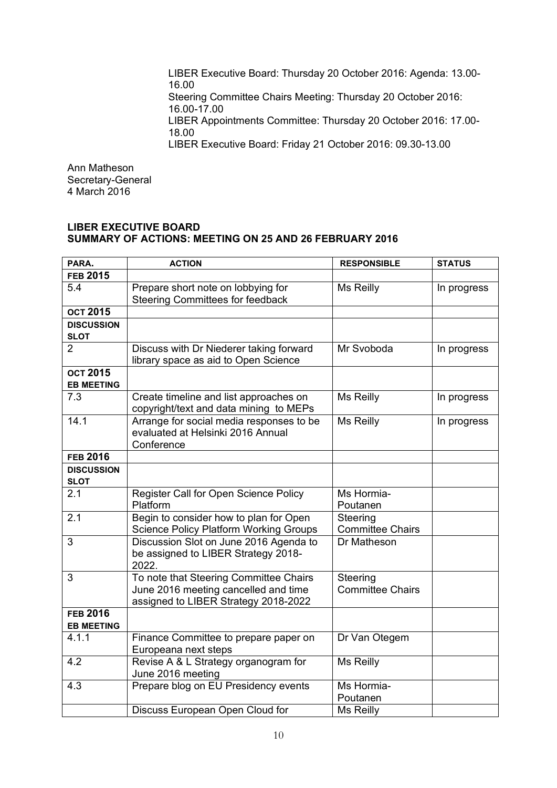LIBER Executive Board: Thursday 20 October 2016: Agenda: 13.00- 16.00 Steering Committee Chairs Meeting: Thursday 20 October 2016: 16.00-17.00 LIBER Appointments Committee: Thursday 20 October 2016: 17.00- 18.00 LIBER Executive Board: Friday 21 October 2016: 09.30-13.00

Ann Matheson Secretary-General 4 March 2016

#### **LIBER EXECUTIVE BOARD SUMMARY OF ACTIONS: MEETING ON 25 AND 26 FEBRUARY 2016**

| PARA.             | <b>ACTION</b>                                                                | <b>RESPONSIBLE</b>                  | <b>STATUS</b> |
|-------------------|------------------------------------------------------------------------------|-------------------------------------|---------------|
| <b>FEB 2015</b>   |                                                                              |                                     |               |
| 5.4               | Prepare short note on lobbying for                                           | Ms Reilly                           | In progress   |
|                   | <b>Steering Committees for feedback</b>                                      |                                     |               |
| <b>ОСТ 2015</b>   |                                                                              |                                     |               |
| <b>DISCUSSION</b> |                                                                              |                                     |               |
| <b>SLOT</b>       |                                                                              |                                     |               |
| $\overline{2}$    | Discuss with Dr Niederer taking forward                                      | Mr Svoboda                          | In progress   |
|                   | library space as aid to Open Science                                         |                                     |               |
| <b>ОСТ 2015</b>   |                                                                              |                                     |               |
| <b>EB MEETING</b> |                                                                              |                                     |               |
| 7.3               | Create timeline and list approaches on                                       | Ms Reilly                           | In progress   |
|                   | copyright/text and data mining to MEPs                                       |                                     |               |
| 14.1              | Arrange for social media responses to be                                     | Ms Reilly                           | In progress   |
|                   | evaluated at Helsinki 2016 Annual                                            |                                     |               |
|                   | Conference                                                                   |                                     |               |
| <b>FEB 2016</b>   |                                                                              |                                     |               |
| <b>DISCUSSION</b> |                                                                              |                                     |               |
| <b>SLOT</b>       |                                                                              |                                     |               |
| 2.1               | Register Call for Open Science Policy                                        | Ms Hormia-                          |               |
|                   | Platform                                                                     | Poutanen                            |               |
| 2.1               | Begin to consider how to plan for Open                                       | Steering                            |               |
|                   | <b>Science Policy Platform Working Groups</b>                                | <b>Committee Chairs</b>             |               |
| 3                 | Discussion Slot on June 2016 Agenda to                                       | Dr Matheson                         |               |
|                   | be assigned to LIBER Strategy 2018-                                          |                                     |               |
|                   | 2022.                                                                        |                                     |               |
| 3                 | To note that Steering Committee Chairs                                       | Steering<br><b>Committee Chairs</b> |               |
|                   | June 2016 meeting cancelled and time<br>assigned to LIBER Strategy 2018-2022 |                                     |               |
| <b>FEB 2016</b>   |                                                                              |                                     |               |
| <b>EB MEETING</b> |                                                                              |                                     |               |
| 4.1.1             | Finance Committee to prepare paper on                                        | Dr Van Otegem                       |               |
|                   | Europeana next steps                                                         |                                     |               |
| 4.2               | Revise A & L Strategy organogram for                                         | Ms Reilly                           |               |
|                   | June 2016 meeting                                                            |                                     |               |
| 4.3               | Prepare blog on EU Presidency events                                         | Ms Hormia-                          |               |
|                   |                                                                              | Poutanen                            |               |
|                   | Discuss European Open Cloud for                                              | Ms Reilly                           |               |
|                   |                                                                              |                                     |               |